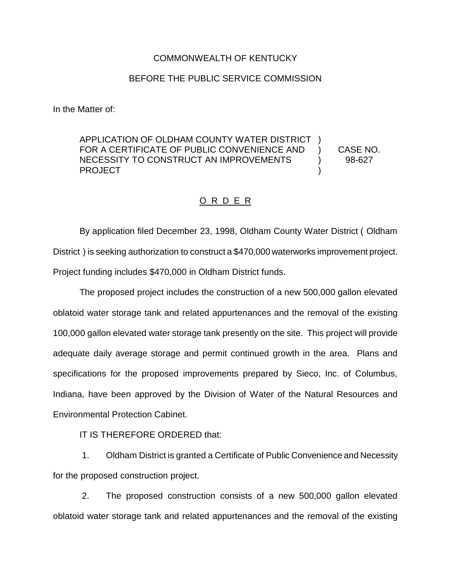## COMMONWEALTH OF KENTUCKY

## BEFORE THE PUBLIC SERVICE COMMISSION

In the Matter of:

APPLICATION OF OLDHAM COUNTY WATER DISTRICT ) FOR A CERTIFICATE OF PUBLIC CONVENIENCE AND ) CASE NO. NECESSITY TO CONSTRUCT AN IMPROVEMENTS  $\qquad \qquad$  98-627 PROJECT and the state of the state of the state of the state of the state of the state of the state of the state of the state of the state of the state of the state of the state of the state of the state of the state of th

## O R D E R

By application filed December 23, 1998, Oldham County Water District ( Oldham District ) is seeking authorization to construct a \$470,000 waterworks improvement project. Project funding includes \$470,000 in Oldham District funds.

The proposed project includes the construction of a new 500,000 gallon elevated oblatoid water storage tank and related appurtenances and the removal of the existing 100,000 gallon elevated water storage tank presently on the site. This project will provide adequate daily average storage and permit continued growth in the area. Plans and specifications for the proposed improvements prepared by Sieco, Inc. of Columbus, Indiana, have been approved by the Division of Water of the Natural Resources and Environmental Protection Cabinet.

IT IS THEREFORE ORDERED that:

1. Oldham District is granted a Certificate of Public Convenience and Necessity for the proposed construction project.

2. The proposed construction consists of a new 500,000 gallon elevated oblatoid water storage tank and related appurtenances and the removal of the existing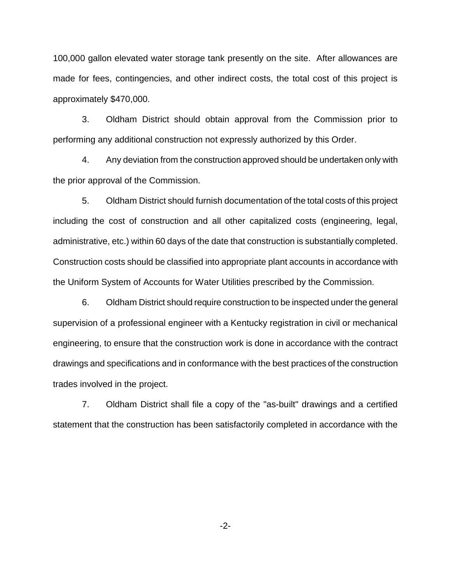100,000 gallon elevated water storage tank presently on the site. After allowances are made for fees, contingencies, and other indirect costs, the total cost of this project is approximately \$470,000.

3. Oldham District should obtain approval from the Commission prior to performing any additional construction not expressly authorized by this Order.

4. Any deviation from the construction approved should be undertaken only with the prior approval of the Commission.

5. Oldham District should furnish documentation of the total costs of this project including the cost of construction and all other capitalized costs (engineering, legal, administrative, etc.) within 60 days of the date that construction is substantially completed. Construction costs should be classified into appropriate plant accounts in accordance with the Uniform System of Accounts for Water Utilities prescribed by the Commission.

6. Oldham District should require construction to be inspected under the general supervision of a professional engineer with a Kentucky registration in civil or mechanical engineering, to ensure that the construction work is done in accordance with the contract drawings and specifications and in conformance with the best practices of the construction trades involved in the project.

7. Oldham District shall file a copy of the "as-built" drawings and a certified statement that the construction has been satisfactorily completed in accordance with the

-2-